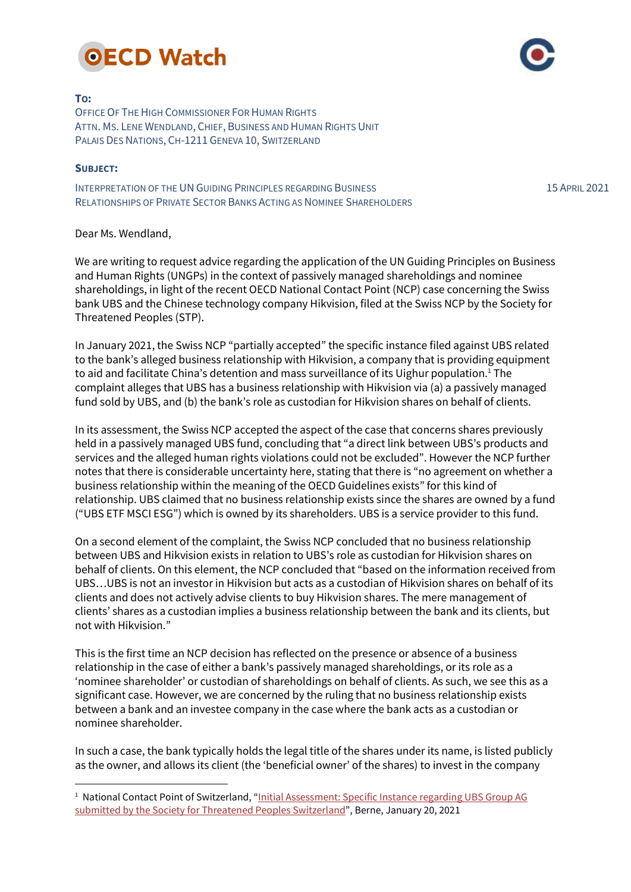

## TO:

OFFICE OF THE HIGH COMMISSIONER FOR HUMAN RIGHTS ATTN. MS. LENE WENDLAND, CHIEF, BUSINESS AND HUMAN RIGHTS UNIT PALAIS DES NATIONS, CH-1211 GENEVA 10, SWITZERLAND

## SUBJECT:

 $\ddot{\phantom{a}}$ 

INTERPRETATION OF THE UN GUIDING PRINCIPLES REGARDING BUSINESS RELATIONSHIPS OF PRIVATE SECTOR BANKS ACTING AS NOMINEE SHAREHOLDERS

Dear Ms. Wendland,

We are writing to request advice regarding the application of the UN Guiding Principles on Business and Human Rights (UNGPs) in the context of passively managed shareholdings and nominee shareholdings, in light of the recent OECD National Contact Point (NCP) case concerning the Swiss bank UBS and the Chinese technology company Hikvision, filed at the Swiss NCP by the Society for Threatened Peoples (STP).

In January 2021, the Swiss NCP "partially accepted" the specific instance filed against UBS related to the bank's alleged business relationship with Hikvision, a company that is providing equipment to aid and facilitate China's detention and mass surveillance of its Uighur population.<sup>1</sup> The complaint alleges that UBS has a business relationship with Hikvision via (a) a passively managed fund sold by UBS, and (b) the bank's role as custodian for Hikvision shares on behalf of clients.

In its assessment, the Swiss NCP accepted the aspect of the case that concerns shares previously held in a passively managed UBS fund, concluding that "a direct link between UBS's products and services and the alleged human rights violations could not be excluded". However the NCP further notes that there is considerable uncertainty here, stating that there is "no agreement on whether a business relationship within the meaning of the OECD Guidelines exists" for this kind of relationship. UBS claimed that no business relationship exists since the shares are owned by a fund ("UBS ETF MSCI ESG") which is owned by its shareholders. UBS is a service provider to this fund.

On a second element of the complaint, the Swiss NCP concluded that no business relationship between UBS and Hikvision exists in relation to UBS's role as custodian for Hikvision shares on behalf of clients. On this element, the NCP concluded that "based on the information received from UBS…UBS is not an investor in Hikvision but acts as a custodian of Hikvision shares on behalf of its clients and does not actively advise clients to buy Hikvision shares. The mere management of clients' shares as a custodian implies a business relationship between the bank and its clients, but not with Hikvision."

This is the first time an NCP decision has reflected on the presence or absence of a business relationship in the case of either a bank's passively managed shareholdings, or its role as a 'nominee shareholder' or custodian of shareholdings on behalf of clients. As such, we see this as a significant case. However, we are concerned by the ruling that no business relationship exists between a bank and an investee company in the case where the bank acts as a custodian or nominee shareholder.

In such a case, the bank typically holds the legal title of the shares under its name, is listed publicly as the owner, and allows its client (the 'beneficial owner' of the shares) to invest in the company

15 APRIL 2021

<sup>&</sup>lt;sup>1</sup> National Contact Point of Switzerland, "Initial Assessment: Specific Instance regarding UBS Group AG submitted by the Society for Threatened Peoples Switzerland", Berne, January 20, 2021